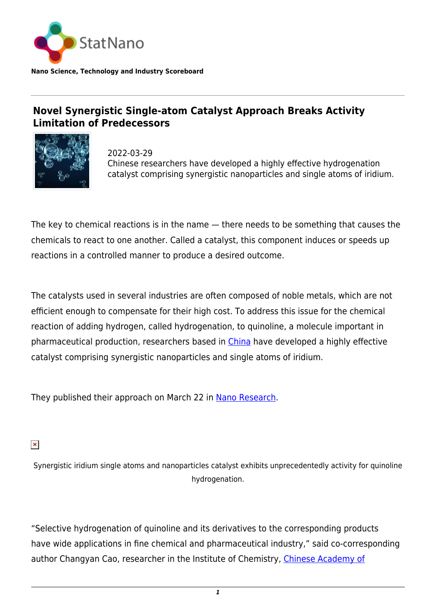

**Nano Science, Technology and Industry Scoreboard**

## **Novel Synergistic Single-atom Catalyst Approach Breaks Activity Limitation of Predecessors**



2022-03-29 Chinese researchers have developed a highly effective hydrogenation catalyst comprising synergistic nanoparticles and single atoms of iridium.

The key to chemical reactions is in the name — there needs to be something that causes the chemicals to react to one another. Called a catalyst, this component induces or speeds up reactions in a controlled manner to produce a desired outcome.

The catalysts used in several industries are often composed of noble metals, which are not efficient enough to compensate for their high cost. To address this issue for the chemical reaction of adding hydrogen, called hydrogenation, to quinoline, a molecule important in pharmaceutical production, researchers based in [China](http://statnano.com/country/China) have developed a highly effective catalyst comprising synergistic nanoparticles and single atoms of iridium.

They published their approach on March 22 in [Nano Research.](https://link.springer.com/article/10.1007/s12274-022-4235-4)

 $\pmb{\times}$ 

Synergistic iridium single atoms and nanoparticles catalyst exhibits unprecedentedly activity for quinoline hydrogenation.

"Selective hydrogenation of quinoline and its derivatives to the corresponding products have wide applications in fine chemical and pharmaceutical industry," said co-corresponding author Changyan Cao, researcher in the Institute of Chemistry, [Chinese Academy of](https://statnano.com/org/Chinese-Academy-of-Sciences)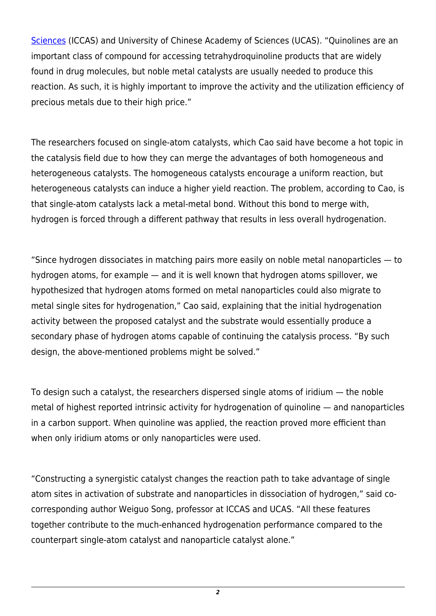[Sciences](https://statnano.com/org/Chinese-Academy-of-Sciences) (ICCAS) and University of Chinese Academy of Sciences (UCAS). "Quinolines are an important class of compound for accessing tetrahydroquinoline products that are widely found in drug molecules, but noble metal catalysts are usually needed to produce this reaction. As such, it is highly important to improve the activity and the utilization efficiency of precious metals due to their high price."

The researchers focused on single-atom catalysts, which Cao said have become a hot topic in the catalysis field due to how they can merge the advantages of both homogeneous and heterogeneous catalysts. The homogeneous catalysts encourage a uniform reaction, but heterogeneous catalysts can induce a higher yield reaction. The problem, according to Cao, is that single-atom catalysts lack a metal-metal bond. Without this bond to merge with, hydrogen is forced through a different pathway that results in less overall hydrogenation.

"Since hydrogen dissociates in matching pairs more easily on noble metal nanoparticles — to hydrogen atoms, for example — and it is well known that hydrogen atoms spillover, we hypothesized that hydrogen atoms formed on metal nanoparticles could also migrate to metal single sites for hydrogenation," Cao said, explaining that the initial hydrogenation activity between the proposed catalyst and the substrate would essentially produce a secondary phase of hydrogen atoms capable of continuing the catalysis process. "By such design, the above-mentioned problems might be solved."

To design such a catalyst, the researchers dispersed single atoms of iridium — the noble metal of highest reported intrinsic activity for hydrogenation of quinoline — and nanoparticles in a carbon support. When quinoline was applied, the reaction proved more efficient than when only iridium atoms or only nanoparticles were used.

"Constructing a synergistic catalyst changes the reaction path to take advantage of single atom sites in activation of substrate and nanoparticles in dissociation of hydrogen," said cocorresponding author Weiguo Song, professor at ICCAS and UCAS. "All these features together contribute to the much-enhanced hydrogenation performance compared to the counterpart single-atom catalyst and nanoparticle catalyst alone."